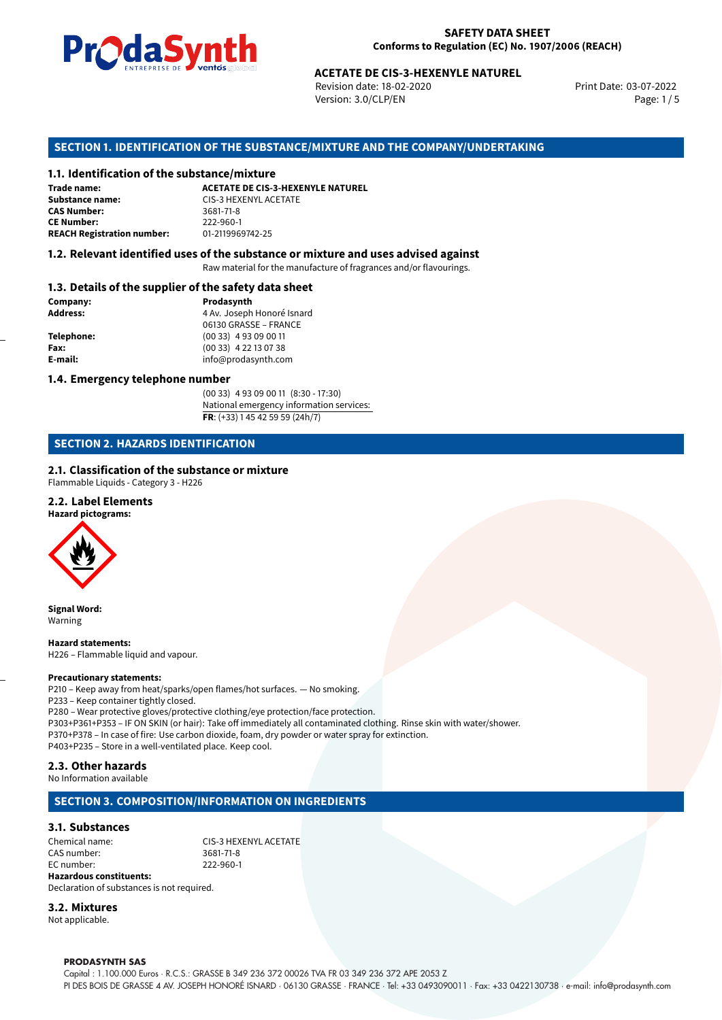

Revision date: 18-02-2020 Version: 3.0/CLP/EN Page: 1 / 5

Print Date: 03-07-2022

# **ACETATE DE CIS-3-HEXENYLE NATUREL<br>
Revision date: 18-02-2020<br>
Version: 3.0/CLP/EN<br>
<b>OF THE SUBSTANCE/MIXTURE AND THE COMPANY/UNDERTAR**<br> **ACETATE DE CIS-3-HEXENYLE NATUREL**<br>
ACETATE DE CIS-3-HEXENYLE NATUREL **SECTION 1. IDENTIFICATION OF THE SUBSTANCE/MIXTURE AND THE COMPANY/UNDERTAKING**

#### **1.1. Identification of the substance/mixture**

| Trade name:                       | <b>ACETATE DE CIS-3-HEXENYLE NAT</b> |
|-----------------------------------|--------------------------------------|
| Substance name:                   | CIS-3 HEXENYL ACETATE                |
| <b>CAS Number:</b>                | 3681-71-8                            |
| <b>CE Number:</b>                 | 222-960-1                            |
| <b>REACH Registration number:</b> | 01-2119969742-25                     |

#### **1.2. Relevant identified uses of the substance or mixture and uses advised against**

Raw material for the manufacture of fragrances and/or flavourings.

#### **1.3. Details of the supplier of the safety data sheet**

| Prodasynth                 |
|----------------------------|
| 4 Av. Joseph Honoré Isnard |
| 06130 GRASSE - FRANCE      |
| $(0033)$ 4 93 09 00 11     |
| $(0033)$ 4 22 13 07 38     |
| info@prodasynth.com        |
|                            |

#### **1.4. Emergency telephone number**

(00 33) 4 93 09 00 11 (8:30 - 17:30) National emergency information services: **FR**: (+33) 1 45 42 59 59 (24h/7)

#### **SECTION 2. HAZARDS IDENTIFICATION**

#### **2.1. Classification of the substance or mixture**

Flammable Liquids - Category 3 - H226

#### **2.2. Label Elements**

**Hazard pictograms:**



**Signal Word:** Warning

**Hazard statements:** H226 – Flammable liquid and vapour.

#### **Precautionary statements:**

P210 – Keep away from heat/sparks/open flames/hot surfaces. — No smoking. P233 – Keep container tightly closed. P280 – Wear protective gloves/protective clothing/eye protection/face protection. P303+P361+P353 – IF ON SKIN (or hair): Take off immediately all contaminated clothing. Rinse skin with water/shower. P370+P378 – In case of fire: Use carbon dioxide, foam, dry powder or water spray for extinction. P403+P235 – Store in a well-ventilated place. Keep cool.

#### **2.3. Other hazards**

No Information available

#### **SECTION 3. COMPOSITION/INFORMATION ON INGREDIENTS**

#### **3.1. Substances**

Chemical name:<br>
CAS number: 
CAS number:<br>
3681-71-8 CAS number: EC number: 222-960-1 **Hazardous constituents:**

Declaration of substances is not required.

#### **3.2. Mixtures**

Not applicable.

#### **PRODASYNTH SAS**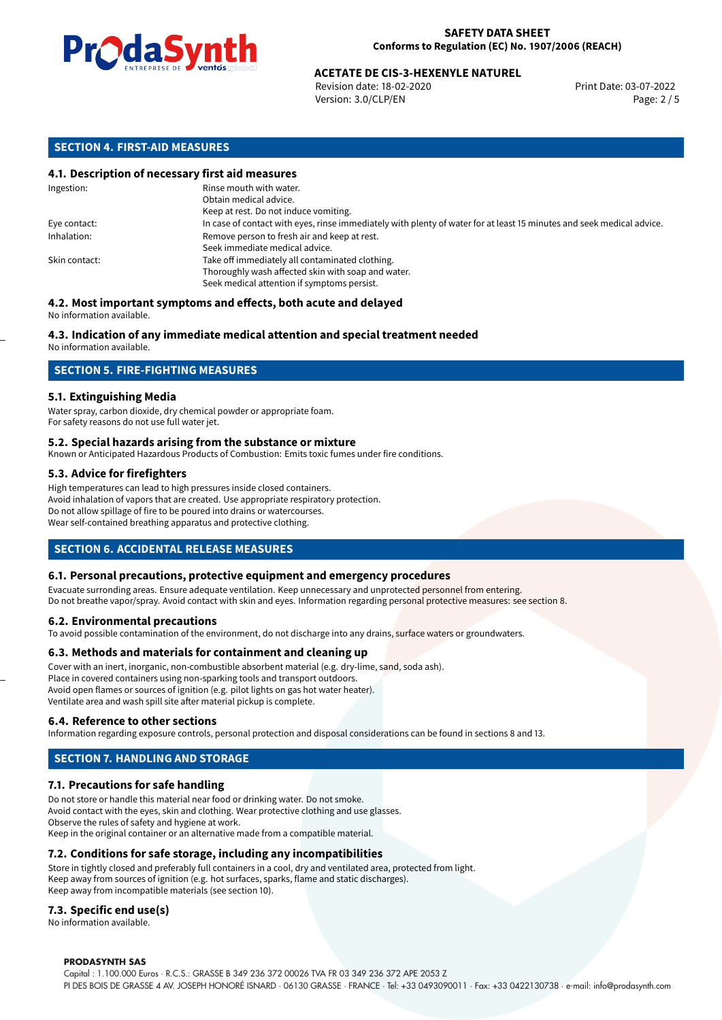

## **ACETATE DE CIS-3-HEXENYLE NATUREL<br>
Revision date: 18-02-2020<br>
Print Date: 03-07-2022**

Revision date: 18-02-2020 Version: 3.0/CLP/EN Page: 2 / 5

#### **SECTION 4. FIRST-AID MEASURES**

#### **4.1. Description of necessary first aid measures**

| Ingestion:    | Rinse mouth with water.<br>Obtain medical advice.                                                                                                    |
|---------------|------------------------------------------------------------------------------------------------------------------------------------------------------|
|               | Keep at rest. Do not induce vomiting.                                                                                                                |
| Eye contact:  | In case of contact with eyes, rinse immediately with plenty of water for at least 15 minutes and seek medical advice.                                |
| Inhalation:   | Remove person to fresh air and keep at rest.<br>Seek immediate medical advice.                                                                       |
| Skin contact: | Take off immediately all contaminated clothing.<br>Thoroughly wash affected skin with soap and water.<br>Seek medical attention if symptoms persist. |

### **4.2. Most important symptoms and effects, both acute and delayed**

No information available.

#### **4.3. Indication of any immediate medical attention and special treatment needed**

No information available.

#### **SECTION 5. FIRE-FIGHTING MEASURES**

#### **5.1. Extinguishing Media**

Water spray, carbon dioxide, dry chemical powder or appropriate foam. For safety reasons do not use full water jet.

#### **5.2. Special hazards arising from the substance or mixture**

Known or Anticipated Hazardous Products of Combustion: Emits toxic fumes under fire conditions.

#### **5.3. Advice for firefighters**

High temperatures can lead to high pressures inside closed containers. Avoid inhalation of vapors that are created. Use appropriate respiratory protection. Do not allow spillage of fire to be poured into drains or watercourses. Wear self-contained breathing apparatus and protective clothing.

#### **SECTION 6. ACCIDENTAL RELEASE MEASURES**

#### **6.1. Personal precautions, protective equipment and emergency procedures**

Evacuate surronding areas. Ensure adequate ventilation. Keep unnecessary and unprotected personnel from entering. Do not breathe vapor/spray. Avoid contact with skin and eyes. Information regarding personal protective measures: see section 8.

#### **6.2. Environmental precautions**

To avoid possible contamination of the environment, do not discharge into any drains, surface waters or groundwaters.

#### **6.3. Methods and materials for containment and cleaning up**

Cover with an inert, inorganic, non-combustible absorbent material (e.g. dry-lime, sand, soda ash). Place in covered containers using non-sparking tools and transport outdoors. Avoid open flames or sources of ignition (e.g. pilot lights on gas hot water heater). Ventilate area and wash spill site after material pickup is complete.

#### **6.4. Reference to other sections**

Information regarding exposure controls, personal protection and disposal considerations can be found in sections 8 and 13.

#### **SECTION 7. HANDLING AND STORAGE**

#### **7.1. Precautions for safe handling**

Do not store or handle this material near food or drinking water. Do not smoke. Avoid contact with the eyes, skin and clothing. Wear protective clothing and use glasses. Observe the rules of safety and hygiene at work. Keep in the original container or an alternative made from a compatible material.

#### **7.2. Conditions for safe storage, including any incompatibilities**

Store in tightly closed and preferably full containers in a cool, dry and ventilated area, protected from light. Keep away from sources of ignition (e.g. hot surfaces, sparks, flame and static discharges). Keep away from incompatible materials (see section 10).

#### **7.3. Specific end use(s)**

No information available.

#### **PRODASYNTH SAS**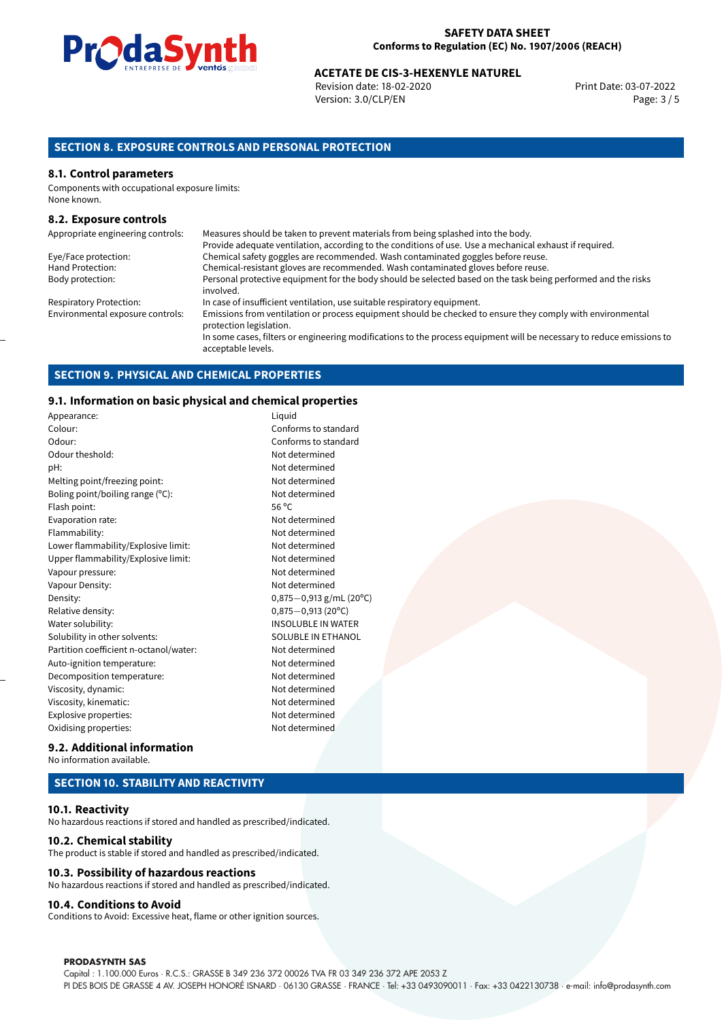

#### **SAFETY DATA SHEET Conforms to Regulation (EC) No. 1907/2006 (REACH)**

## **ACETATE DE CIS-3-HEXENYLE NATUREL<br>Revision date: 18-02-2020 Print Date: 03-07-2022**

Revision date: 18-02-2020 Version: 3.0/CLP/EN Page: 3 / 5

#### **SECTION 8. EXPOSURE CONTROLS AND PERSONAL PROTECTION**

#### **8.1. Control parameters**

Components with occupational exposure limits: None known.

#### **8.2. Exposure controls**

| Appropriate engineering controls: | Measures should be taken to prevent materials from being splashed into the body.                                                            |
|-----------------------------------|---------------------------------------------------------------------------------------------------------------------------------------------|
|                                   | Provide adequate ventilation, according to the conditions of use. Use a mechanical exhaust if required.                                     |
| Eye/Face protection:              | Chemical safety goggles are recommended. Wash contaminated goggles before reuse.                                                            |
| Hand Protection:                  | Chemical-resistant gloves are recommended. Wash contaminated gloves before reuse.                                                           |
| Body protection:                  | Personal protective equipment for the body should be selected based on the task being performed and the risks<br>involved.                  |
| <b>Respiratory Protection:</b>    | In case of insufficient ventilation, use suitable respiratory equipment.                                                                    |
| Environmental exposure controls:  | Emissions from ventilation or process equipment should be checked to ensure they comply with environmental<br>protection legislation.       |
|                                   | In some cases, filters or engineering modifications to the process equipment will be necessary to reduce emissions to<br>acceptable levels. |

#### **SECTION 9. PHYSICAL AND CHEMICAL PROPERTIES**

#### **9.1. Information on basic physical and chemical properties**

| Appearance:                            | Liquid                      |
|----------------------------------------|-----------------------------|
| Colour:                                | Conforms to standard        |
| Odour:                                 | Conforms to standard        |
| Odour theshold:                        | Not determined              |
| pH:                                    | Not determined              |
| Melting point/freezing point:          | Not determined              |
| Boling point/boiling range (°C):       | Not determined              |
| Flash point:                           | 56 $^{\circ}$ C             |
| Evaporation rate:                      | Not determined              |
| Flammability:                          | Not determined              |
| Lower flammability/Explosive limit:    | Not determined              |
| Upper flammability/Explosive limit:    | Not determined              |
| Vapour pressure:                       | Not determined              |
| Vapour Density:                        | Not determined              |
| Density:                               | 0,875 $-$ 0,913 g/mL (20°C) |
| Relative density:                      | $0.875 - 0.913$ (20°C)      |
| Water solubility:                      | <b>INSOLUBLE IN WATER</b>   |
| Solubility in other solvents:          | SOLUBLE IN ETHANOL          |
| Partition coefficient n-octanol/water: | Not determined              |
| Auto-ignition temperature:             | Not determined              |
| Decomposition temperature:             | Not determined              |
| Viscosity, dynamic:                    | Not determined              |
| Viscosity, kinematic:                  | Not determined              |
| Explosive properties:                  | Not determined              |
| Oxidising properties:                  | Not determined              |

| Liyuiu                    |
|---------------------------|
| Conforms to standard      |
| Conforms to standard      |
| Not determined            |
| Not determined            |
| Not determined            |
| Not determined            |
| 56 °C                     |
| Not determined            |
| Not determined            |
| Not determined            |
| Not determined            |
| Not determined            |
| Not determined            |
| 0,875-0,913 g/mL (20°C)   |
| 0,875-0,913 (20°C)        |
| <b>INSOLUBLE IN WATER</b> |
| SOLUBLE IN ETHANOL        |
| Not determined            |
| Not determined            |
| Not determined            |
| Not determined            |
| Not determined            |
| Not determined            |
| Not determined            |

#### **9.2. Additional information** No information available.

#### **SECTION 10. STABILITY AND REACTIVITY**

#### **10.1. Reactivity**

No hazardous reactions if stored and handled as prescribed/indicated.

#### **10.2. Chemical stability**

The product is stable if stored and handled as prescribed/indicated.

#### **10.3. Possibility of hazardous reactions**

No hazardous reactions if stored and handled as prescribed/indicated.

#### **10.4. Conditions to Avoid**

Conditions to Avoid: Excessive heat, flame or other ignition sources.

#### **PRODASYNTH SAS**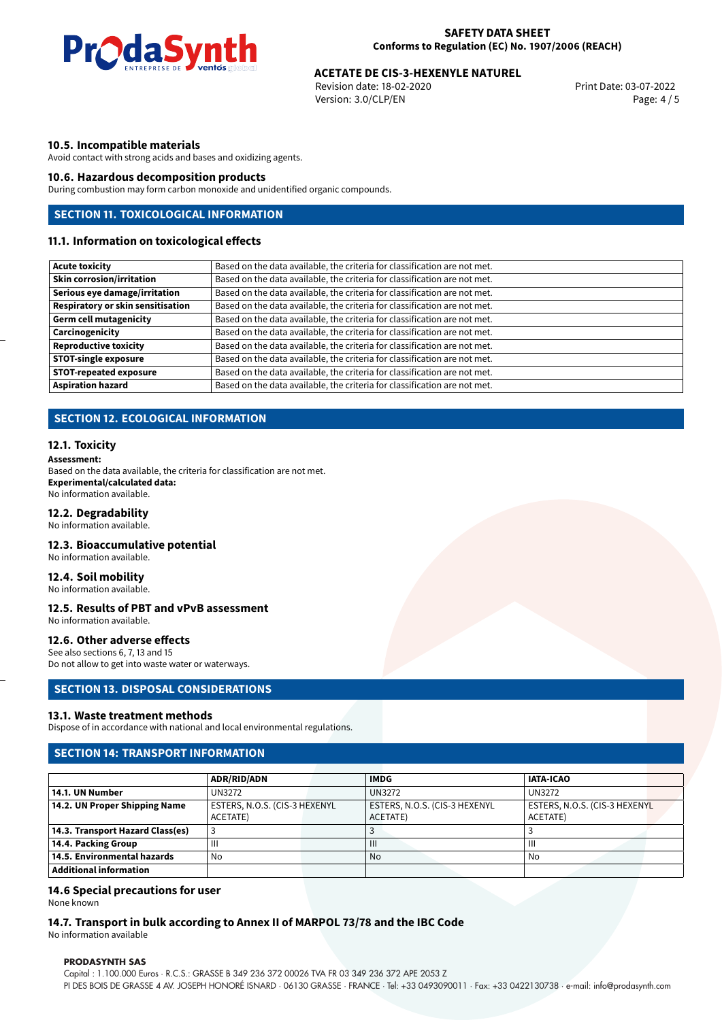

## **ACETATE DE CIS-3-HEXENYLE NATUREL<br>
Revision date: 18-02-2020<br>
Print Date: 03-07-2022**

Revision date: 18-02-2020 Version: 3.0/CLP/EN Page: 4 / 5

#### **10.5. Incompatible materials**

Avoid contact with strong acids and bases and oxidizing agents.

#### **10.6. Hazardous decomposition products**

During combustion may form carbon monoxide and unidentified organic compounds.

#### **SECTION 11. TOXICOLOGICAL INFORMATION**

#### **11.1. Information on toxicological effects**

| <b>Acute toxicity</b>                    | Based on the data available, the criteria for classification are not met. |
|------------------------------------------|---------------------------------------------------------------------------|
| <b>Skin corrosion/irritation</b>         | Based on the data available, the criteria for classification are not met. |
| Serious eye damage/irritation            | Based on the data available, the criteria for classification are not met. |
| <b>Respiratory or skin sensitisation</b> | Based on the data available, the criteria for classification are not met. |
| <b>Germ cell mutagenicity</b>            | Based on the data available, the criteria for classification are not met. |
| Carcinogenicity                          | Based on the data available, the criteria for classification are not met. |
| <b>Reproductive toxicity</b>             | Based on the data available, the criteria for classification are not met. |
| <b>STOT-single exposure</b>              | Based on the data available, the criteria for classification are not met. |
| <b>STOT-repeated exposure</b>            | Based on the data available, the criteria for classification are not met. |
| <b>Aspiration hazard</b>                 | Based on the data available, the criteria for classification are not met. |

### **SECTION 12. ECOLOGICAL INFORMATION**

#### **12.1. Toxicity**

**Assessment:** Based on the data available, the criteria for classification are not met. **Experimental/calculated data:** No information available.

#### **12.2. Degradability**

No information available.

#### **12.3. Bioaccumulative potential**

No information available.

#### **12.4. Soil mobility**

No information available.

#### **12.5. Results of PBT and vPvB assessment**

No information available.

#### **12.6. Other adverse effects**

See also sections 6, 7, 13 and 15 Do not allow to get into waste water or waterways.

#### **SECTION 13. DISPOSAL CONSIDERATIONS**

#### **13.1. Waste treatment methods**

Dispose of in accordance with national and local environmental regulations.

#### **SECTION 14: TRANSPORT INFORMATION**

|                                  | <b>ADR/RID/ADN</b>            | <b>IMDG</b>                   | <b>IATA-ICAO</b>              |  |
|----------------------------------|-------------------------------|-------------------------------|-------------------------------|--|
| 14.1. UN Number                  | UN3272                        | <b>UN3272</b>                 | <b>UN3272</b>                 |  |
| 14.2. UN Proper Shipping Name    | ESTERS, N.O.S. (CIS-3 HEXENYL | ESTERS, N.O.S. (CIS-3 HEXENYL | ESTERS, N.O.S. (CIS-3 HEXENYL |  |
|                                  | ACETATE)                      | ACETATE)                      | ACETATE)                      |  |
| 14.3. Transport Hazard Class(es) |                               |                               |                               |  |
| 14.4. Packing Group              | Ш                             | $\mathbf{III}$                | Ш                             |  |
| 14.5. Environmental hazards      | No                            | No                            | No                            |  |
| Additional information           |                               |                               |                               |  |

#### **14.6 Special precautions for user**

None known

### **14.7. Transport in bulk according to Annex II of MARPOL 73/78 and the IBC Code**

No information available

#### **PRODASYNTH SAS**